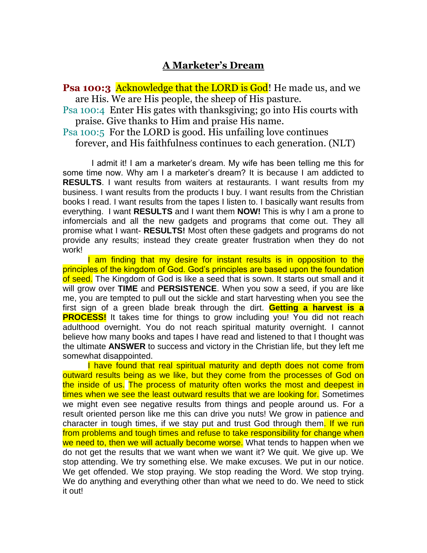## **A Marketer's Dream**

**Psa 100:3** Acknowledge that the LORD is God! He made us, and we are His. We are His people, the sheep of His pasture.

Psa 100:4 Enter His gates with thanksgiving; go into His courts with praise. Give thanks to Him and praise His name.

Psa 100:5 For the LORD is good. His unfailing love continues forever, and His faithfulness continues to each generation. (NLT)

 I admit it! I am a marketer's dream. My wife has been telling me this for some time now. Why am I a marketer's dream? It is because I am addicted to **RESULTS**. I want results from waiters at restaurants. I want results from my business. I want results from the products I buy. I want results from the Christian books I read. I want results from the tapes I listen to. I basically want results from everything. I want **RESULTS** and I want them **NOW!** This is why I am a prone to infomercials and all the new gadgets and programs that come out. They all promise what I want- **RESULTS!** Most often these gadgets and programs do not provide any results; instead they create greater frustration when they do not work!

I am finding that my desire for instant results is in opposition to the principles of the kingdom of God. God's principles are based upon the foundation of seed. The Kingdom of God is like a seed that is sown. It starts out small and it will grow over **TIME** and **PERSISTENCE**. When you sow a seed, if you are like me, you are tempted to pull out the sickle and start harvesting when you see the first sign of a green blade break through the dirt. **Getting a harvest is a PROCESS!** It takes time for things to grow including you! You did not reach adulthood overnight. You do not reach spiritual maturity overnight. I cannot believe how many books and tapes I have read and listened to that I thought was the ultimate **ANSWER** to success and victory in the Christian life, but they left me somewhat disappointed.

I have found that real spiritual maturity and depth does not come from outward results being as we like, but they come from the processes of God on the inside of us. The process of maturity often works the most and deepest in times when we see the least outward results that we are looking for. Sometimes we might even see negative results from things and people around us. For a result oriented person like me this can drive you nuts! We grow in patience and character in tough times, if we stay put and trust God through them. If we run from problems and tough times and refuse to take responsibility for change when we need to, then we will actually become worse. What tends to happen when we do not get the results that we want when we want it? We quit. We give up. We stop attending. We try something else. We make excuses. We put in our notice. We get offended. We stop praying. We stop reading the Word. We stop trying. We do anything and everything other than what we need to do. We need to stick it out!